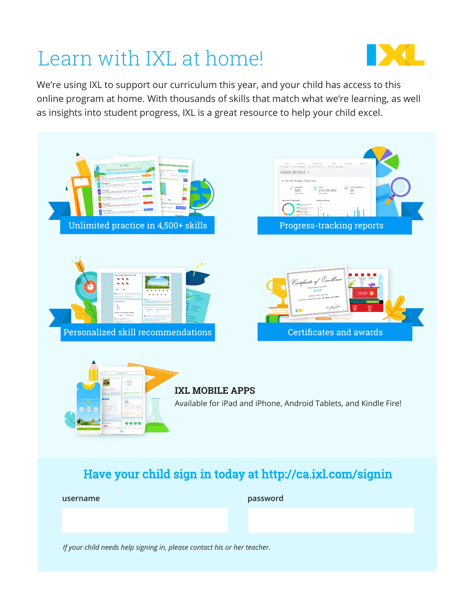# Learn with IXL at home!



We're using IXL to support our curriculum this year, and your child has access to this online program at home. With thousands of skills that match what we're learning, as well as insights into student progress, IXL is a great resource to help your child excel.



### Have your child sign in today at http://ca.ixl.com/signin

**username password**

*If your child needs help signing in, please contact his or her teacher.*